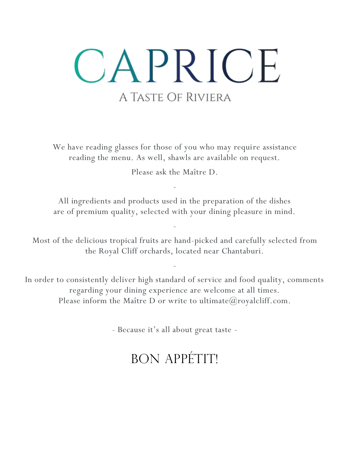# CAPRICE A TASTE OF RIVIERA

We have reading glasses for those of you who may require assistance reading the menu. As well, shawls are available on request.

Please ask the Maître D.

-

All ingredients and products used in the preparation of the dishes are of premium quality, selected with your dining pleasure in mind.

-

Most of the delicious tropical fruits are hand-picked and carefully selected from the Royal Cliff orchards, located near Chantaburi.

In order to consistently deliver high standard of service and food quality, comments regarding your dining experience are welcome at all times. Please inform the Maître D or write to ultimate  $@$  royalcliff.com.

-

- Because it's all about great taste -

## BON APPÉTIT!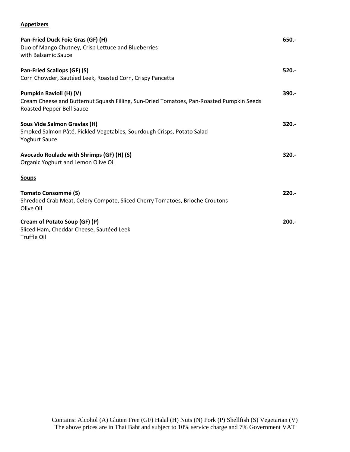#### **Appetizers**

| Pan-Fried Duck Foie Gras (GF) (H)<br>Duo of Mango Chutney, Crisp Lettuce and Blueberries<br>with Balsamic Sauce                                  | 650.-    |
|--------------------------------------------------------------------------------------------------------------------------------------------------|----------|
| Pan-Fried Scallops (GF) (S)<br>Corn Chowder, Sautéed Leek, Roasted Corn, Crispy Pancetta                                                         | $520 -$  |
| Pumpkin Ravioli (H) (V)<br>Cream Cheese and Butternut Squash Filling, Sun-Dried Tomatoes, Pan-Roasted Pumpkin Seeds<br>Roasted Pepper Bell Sauce | 390.-    |
| Sous Vide Salmon Gravlax (H)<br>Smoked Salmon Pâté, Pickled Vegetables, Sourdough Crisps, Potato Salad<br><b>Yoghurt Sauce</b>                   | $320 -$  |
| Avocado Roulade with Shrimps (GF) (H) (S)<br>Organic Yoghurt and Lemon Olive Oil                                                                 | $320 -$  |
| <b>Soups</b>                                                                                                                                     |          |
| <b>Tomato Consommé (S)</b><br>Shredded Crab Meat, Celery Compote, Sliced Cherry Tomatoes, Brioche Croutons<br>Olive Oil                          | $220. -$ |
| Cream of Potato Soup (GF) (P)<br>Sliced Ham, Cheddar Cheese, Sautéed Leek<br>Truffle Oil                                                         | $200.-$  |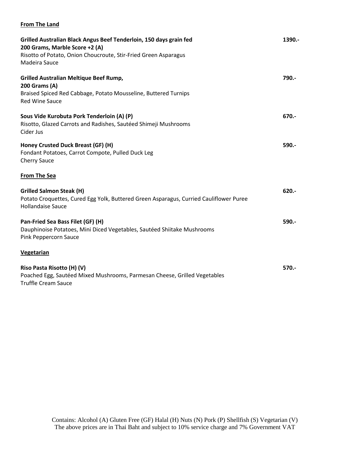### **From The Land**

| Grilled Australian Black Angus Beef Tenderloin, 150 days grain fed<br>200 Grams, Marble Score +2 (A)                                                  | 1390.-  |
|-------------------------------------------------------------------------------------------------------------------------------------------------------|---------|
| Risotto of Potato, Onion Choucroute, Stir-Fried Green Asparagus<br>Madeira Sauce                                                                      |         |
| Grilled Australian Meltique Beef Rump,<br><b>200 Grams (A)</b>                                                                                        | 790.-   |
| Braised Spiced Red Cabbage, Potato Mousseline, Buttered Turnips<br><b>Red Wine Sauce</b>                                                              |         |
| Sous Vide Kurobuta Pork Tenderloin (A) (P)<br>Risotto, Glazed Carrots and Radishes, Sautéed Shimeji Mushrooms<br>Cider Jus                            | 670.-   |
| Honey Crusted Duck Breast (GF) (H)<br>Fondant Potatoes, Carrot Compote, Pulled Duck Leg<br><b>Cherry Sauce</b>                                        | $590 -$ |
| <b>From The Sea</b>                                                                                                                                   |         |
| <b>Grilled Salmon Steak (H)</b><br>Potato Croquettes, Cured Egg Yolk, Buttered Green Asparagus, Curried Cauliflower Puree<br><b>Hollandaise Sauce</b> | $620 -$ |
| Pan-Fried Sea Bass Filet (GF) (H)<br>Dauphinoise Potatoes, Mini Diced Vegetables, Sautéed Shiitake Mushrooms<br>Pink Peppercorn Sauce                 | $590 -$ |
| <b>Vegetarian</b>                                                                                                                                     |         |
| Riso Pasta Risotto (H) (V)<br>Poached Egg, Sautéed Mixed Mushrooms, Parmesan Cheese, Grilled Vegetables<br><b>Truffle Cream Sauce</b>                 | $570 -$ |